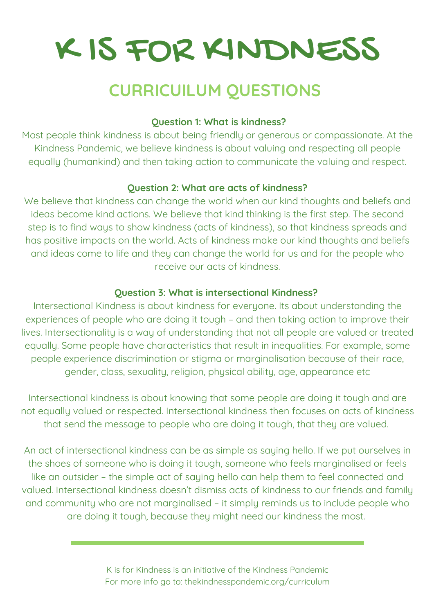# K IS FOR KINDNESS

## CURRICUILUM QUESTIONS **CURRICUILUM QUESTIONS**

### **Question 1: What is kindness?**

Most people think kindness is about being friendly or generous or compassionate. At the Kindness Pandemic, we believe kindness is about valuing and respecting all people equally (humankind) and then taking action to communicate the valuing and respect.

### **Question 2: What are acts of kindness?**

We believe that kindness can change the world when our kind thoughts and beliefs and ideas become kind actions. We believe that kind thinking is the first step. The second step is to find ways to show kindness (acts of kindness), so that kindness spreads and has positive impacts on the world. Acts of kindness make our kind thoughts and beliefs and ideas come to life and they can change the world for us and for the people who receive our acts of kindness.

### **Question 3: What is intersectional Kindness?**

Intersectional Kindness is about kindness for everyone. Its about understanding the experiences of people who are doing it tough – and then taking action to improve their lives. Intersectionality is a way of understanding that not all people are valued or treated equally. Some people have characteristics that result in inequalities. For example, some people experience discrimination or stigma or marginalisation because of their race, gender, class, sexuality, religion, physical ability, age, appearance etc

Intersectional kindness is about knowing that some people are doing it tough and are not equally valued or respected. Intersectional kindness then focuses on acts of kindness that send the message to people who are doing it tough, that they are valued.

like an outsider - the simple act of saying hello can help them to feel connected and valued. Intersectional kindness doesn't dismiss acts of kindness to our friends and family are doing it tough, because they might need our kindness the most. **How to help** the shoes of someone who is doing it tough, someone who feels marginalised or feels An act of intersectional kindness can be as simple as saying hello. If we put ourselves in and community who are not marginalised – it simply reminds us to include people who

> **K** is far Kindness is an initiative of the Kindness Pandemic. K is for Kindness is an initiative of the Kindness Pandemic For more info go to: thekindnesspandemic.org/curriculum<br>—

your letter box, to tell people you can be about the care about kindness of the care about kindness about kindness